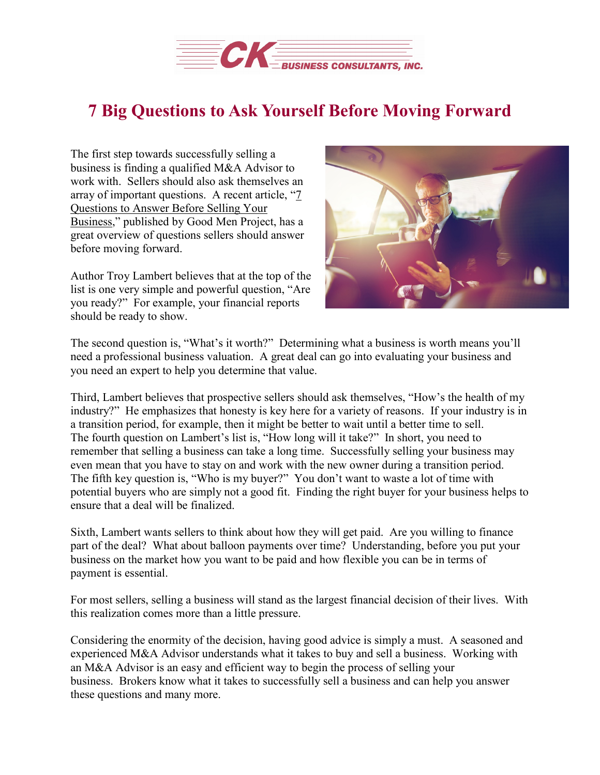

## **7 Big Questions to Ask Yourself Before Moving Forward**

The first step towards successfully selling a business is finding a qualified M&A Advisor to work with. Sellers should also ask themselves an array of important questions. A recent article, ["7](https://goodmenproject.com/featured-content/7-questions-to-answer-before-selling-your-business-kpkn/) [Questions](https://goodmenproject.com/featured-content/7-questions-to-answer-before-selling-your-business-kpkn/) to Answer Before Selling Your [Business,](https://goodmenproject.com/featured-content/7-questions-to-answer-before-selling-your-business-kpkn/)" published by Good Men Project, has a great overview of questions sellers should answer before moving forward.

Author Troy Lambert believes that at the top of the list is one very simple and powerful question, "Are you ready?" For example, your financial reports should be ready to show.



The second question is, "What's it worth?" Determining what a business is worth means you'll need a professional business valuation. A great deal can go into evaluating your business and you need an expert to help you determine that value.

Third, Lambert believes that prospective sellers should ask themselves, "How's the health of my industry?" He emphasizes that honesty is key here for a variety of reasons. If your industry is in a transition period, for example, then it might be better to wait until a better time to sell. The fourth question on Lambert's list is, "How long will it take?" In short, you need to remember that selling a business can take a long time. Successfully selling your business may even mean that you have to stay on and work with the new owner during a transition period. The fifth key question is, "Who is my buyer?" You don't want to waste a lot of time with potential buyers who are simply not a good fit. Finding the right buyer for your business helps to ensure that a deal will be finalized.

Sixth, Lambert wants sellers to think about how they will get paid. Are you willing to finance part of the deal? What about balloon payments over time? Understanding, before you put your business on the market how you want to be paid and how flexible you can be in terms of payment is essential.

For most sellers, selling a business will stand as the largest financial decision of their lives. With this realization comes more than a little pressure.

Considering the enormity of the decision, having good advice is simply a must. A seasoned and experienced M&A Advisor understands what it takes to buy and sell a business. Working with an M&A Advisor is an easy and efficient way to begin the process of selling your business. Brokers know what it takes to successfully sell a business and can help you answer these questions and many more.